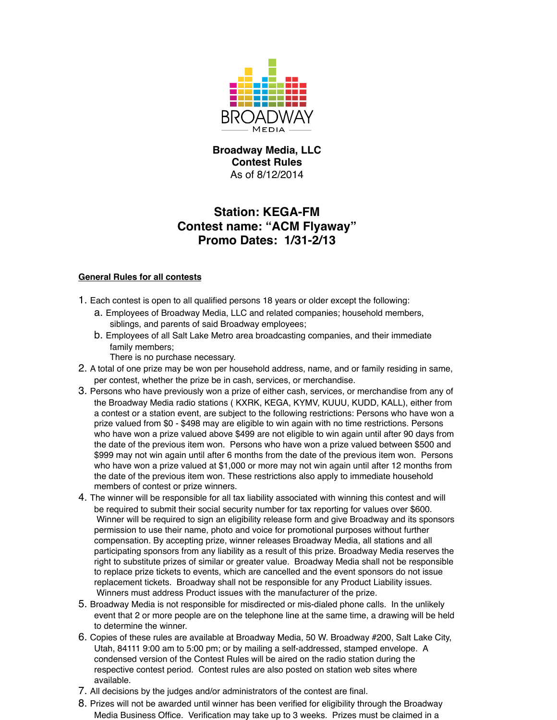

# **Broadway Media, LLC Contest Rules** As of 8/12/2014

# **Station: KEGA-FM Contest name: "ACM Flyaway" Promo Dates: 1/31-2/13**

## **General Rules for all contests**

- 1. Each contest is open to all qualified persons 18 years or older except the following:
	- a. Employees of Broadway Media, LLC and related companies; household members, siblings, and parents of said Broadway employees;
	- b. Employees of all Salt Lake Metro area broadcasting companies, and their immediate family members;

There is no purchase necessary.

- 2. A total of one prize may be won per household address, name, and or family residing in same, per contest, whether the prize be in cash, services, or merchandise.
- 3. Persons who have previously won a prize of either cash, services, or merchandise from any of the Broadway Media radio stations ( KXRK, KEGA, KYMV, KUUU, KUDD, KALL), either from a contest or a station event, are subject to the following restrictions: Persons who have won a prize valued from \$0 - \$498 may are eligible to win again with no time restrictions. Persons who have won a prize valued above \$499 are not eligible to win again until after 90 days from the date of the previous item won. Persons who have won a prize valued between \$500 and \$999 may not win again until after 6 months from the date of the previous item won. Persons who have won a prize valued at \$1,000 or more may not win again until after 12 months from the date of the previous item won. These restrictions also apply to immediate household members of contest or prize winners.
- 4. The winner will be responsible for all tax liability associated with winning this contest and will be required to submit their social security number for tax reporting for values over \$600. Winner will be required to sign an eligibility release form and give Broadway and its sponsors permission to use their name, photo and voice for promotional purposes without further compensation. By accepting prize, winner releases Broadway Media, all stations and all participating sponsors from any liability as a result of this prize. Broadway Media reserves the right to substitute prizes of similar or greater value. Broadway Media shall not be responsible to replace prize tickets to events, which are cancelled and the event sponsors do not issue replacement tickets. Broadway shall not be responsible for any Product Liability issues. Winners must address Product issues with the manufacturer of the prize.
- 5. Broadway Media is not responsible for misdirected or mis-dialed phone calls. In the unlikely event that 2 or more people are on the telephone line at the same time, a drawing will be held to determine the winner.
- 6. Copies of these rules are available at Broadway Media, 50 W. Broadway #200, Salt Lake City, Utah, 84111 9:00 am to 5:00 pm; or by mailing a self-addressed, stamped envelope. A condensed version of the Contest Rules will be aired on the radio station during the respective contest period. Contest rules are also posted on station web sites where available.
- 7. All decisions by the judges and/or administrators of the contest are final.
- 8. Prizes will not be awarded until winner has been verified for eligibility through the Broadway Media Business Office. Verification may take up to 3 weeks. Prizes must be claimed in a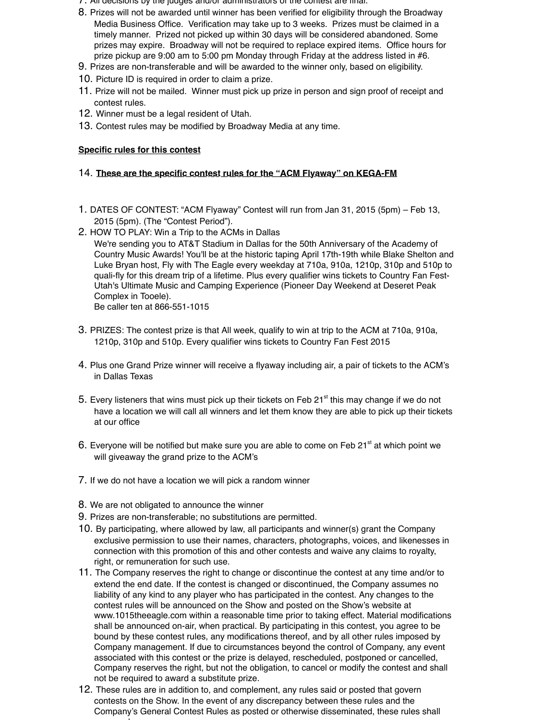- 7. All decisions by the judges and/or administrators of the contest are final.
- 8. Prizes will not be awarded until winner has been verified for eligibility through the Broadway Media Business Office. Verification may take up to 3 weeks. Prizes must be claimed in a timely manner. Prized not picked up within 30 days will be considered abandoned. Some prizes may expire. Broadway will not be required to replace expired items. Office hours for prize pickup are 9:00 am to 5:00 pm Monday through Friday at the address listed in #6.
- 9. Prizes are non-transferable and will be awarded to the winner only, based on eligibility.
- 10. Picture ID is required in order to claim a prize.
- 11. Prize will not be mailed. Winner must pick up prize in person and sign proof of receipt and contest rules.
- 12. Winner must be a legal resident of Utah.
- 13. Contest rules may be modified by Broadway Media at any time.

### **Specific rules for this contest**

#### 14. **These are the specific contest rules for the "ACM Flyaway" on KEGA-FM**

- 1. DATES OF CONTEST: "ACM Flyaway" Contest will run from Jan 31, 2015 (5pm) Feb 13, 2015 (5pm). (The "Contest Period").
- 2. HOW TO PLAY: Win a Trip to the ACMs in Dallas We're sending you to AT&T Stadium in Dallas for the 50th Anniversary of the Academy of Country Music Awards! You'll be at the historic taping April 17th-19th while Blake Shelton and Luke Bryan host, Fly with The Eagle every weekday at 710a, 910a, 1210p, 310p and 510p to quali-fly for this dream trip of a lifetime. Plus every qualifier wins tickets to Country Fan Fest-Utah's Ultimate Music and Camping Experience (Pioneer Day Weekend at Deseret Peak Complex in Tooele).

Be caller ten at 866-551-1015

- 3. PRIZES: The contest prize is that All week, qualify to win at trip to the ACM at 710a, 910a, 1210p, 310p and 510p. Every qualifier wins tickets to Country Fan Fest 2015
- 4. Plus one Grand Prize winner will receive a flyaway including air, a pair of tickets to the ACM's in Dallas Texas
- 5. Every listeners that wins must pick up their tickets on Feb 21 $^{\text{st}}$  this may change if we do not have a location we will call all winners and let them know they are able to pick up their tickets at our office
- 6. Everyone will be notified but make sure you are able to come on Feb  $21<sup>st</sup>$  at which point we will giveaway the grand prize to the ACM's
- 7. If we do not have a location we will pick a random winner
- 8. We are not obligated to announce the winner
- 9. Prizes are non-transferable; no substitutions are permitted.
- 10. By participating, where allowed by law, all participants and winner(s) grant the Company exclusive permission to use their names, characters, photographs, voices, and likenesses in connection with this promotion of this and other contests and waive any claims to royalty, right, or remuneration for such use.
- 11. The Company reserves the right to change or discontinue the contest at any time and/or to extend the end date. If the contest is changed or discontinued, the Company assumes no liability of any kind to any player who has participated in the contest. Any changes to the contest rules will be announced on the Show and posted on the Show's website at www.1015theeagle.com within a reasonable time prior to taking effect. Material modifications shall be announced on-air, when practical. By participating in this contest, you agree to be bound by these contest rules, any modifications thereof, and by all other rules imposed by Company management. If due to circumstances beyond the control of Company, any event associated with this contest or the prize is delayed, rescheduled, postponed or cancelled, Company reserves the right, but not the obligation, to cancel or modify the contest and shall not be required to award a substitute prize.
- 12. These rules are in addition to, and complement, any rules said or posted that govern contests on the Show. In the event of any discrepancy between these rules and the Company's General Contest Rules as posted or otherwise disseminated, these rules shall supersede.